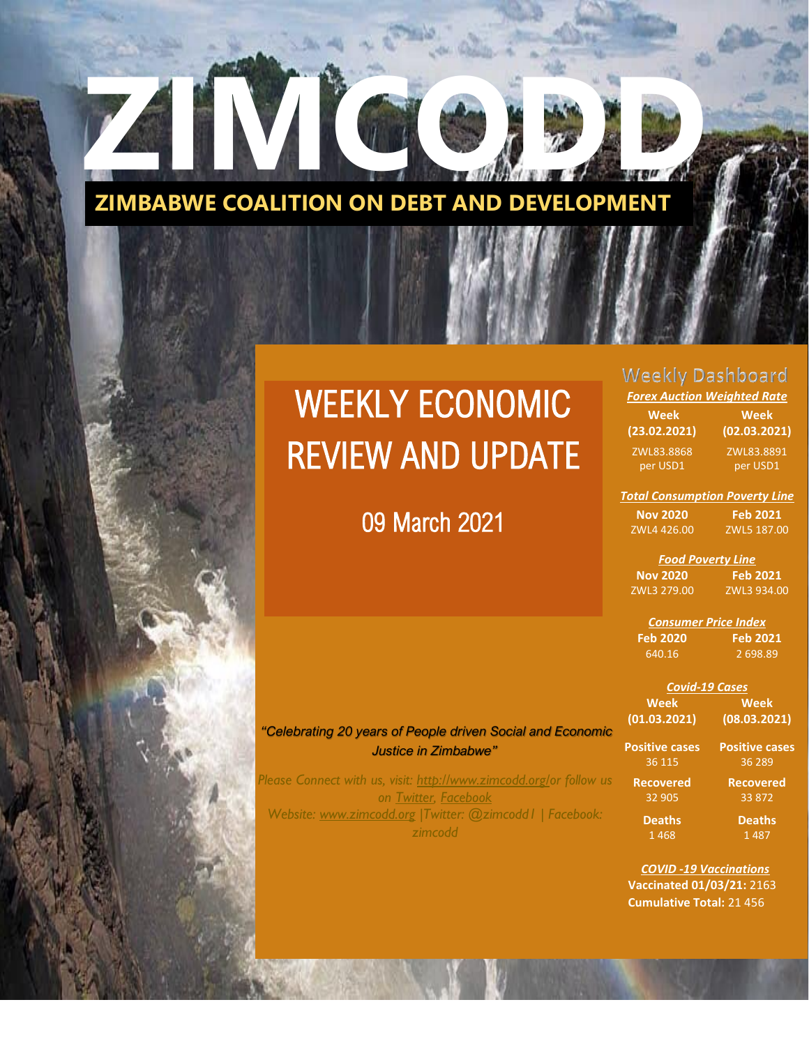

# WEEKLY ECONOMIC REVIEW AND UPDATE

## 09 March 2021

WE EXTEND TO A REVIEW AND REVIEW AND REVIEW AND REVIEW AND REVIEW AND REVIEW AND REVIEW AND REVIEW AND REVIEW AND REVIEW AND REVIEW AND REVIEW AND REVIEW AND REVIEW AND REVIEW AND REVIEW AND REVIEW AND REVIEW AND REVIEW AN

## **Weekly Dashboard**

| <u> Forex Auction Weighted Rate</u> |              |  |
|-------------------------------------|--------------|--|
| Week                                | Week         |  |
| (23.02.2021)                        | (02.03.2021) |  |
| ZWL83.8868                          | ZWL83.8891   |  |
| per USD1                            | per USD1     |  |
|                                     |              |  |

*Total Consumption Poverty Line*

**Feb 2021** 5 187.00

| Nov 2020    | Fε |
|-------------|----|
| ZWL4 426.00 | ZW |

*Food Poverty Line* **Nov 2020** ZWL3 279.00 **Feb 2021** ZWL3 934.00

*Consumer Price Index* **Feb 2020 Feb 2021** 2 698.89

| <b>Covid-19 Cases</b> |                       |  |
|-----------------------|-----------------------|--|
| <b>Week</b>           | Week                  |  |
| (01.03.2021)          | (08.03.2021)          |  |
| <b>Positive cases</b> | <b>Positive cases</b> |  |
| 36 115                | 36 289                |  |
| <b>Recovered</b>      | <b>Recovered</b>      |  |
| 32 905                | 33 872                |  |

33 872 **Deaths**  1 487

*COVID -19 Vaccinations*  **Vaccinated 01/03/21:** 2163  **Cumulative Total:** 21 456

**Deaths**  1 468

*"Celebrating 20 years of People driven Social and Economic Justice in Zimbabwe"*

*Please Connect with us, visit: [http://www.zimcodd.org/o](http://www.zimcodd.org/)r follow us on [Twitter,](https://twitter.com/ZIMCODD1) [Facebook](https://www.facebook.com/zimcodd.zimcodd) Website: [www.zimcodd.org](http://www.zimcodd.org/) |Twitter: @zimcodd1 | Facebook: zimcodd*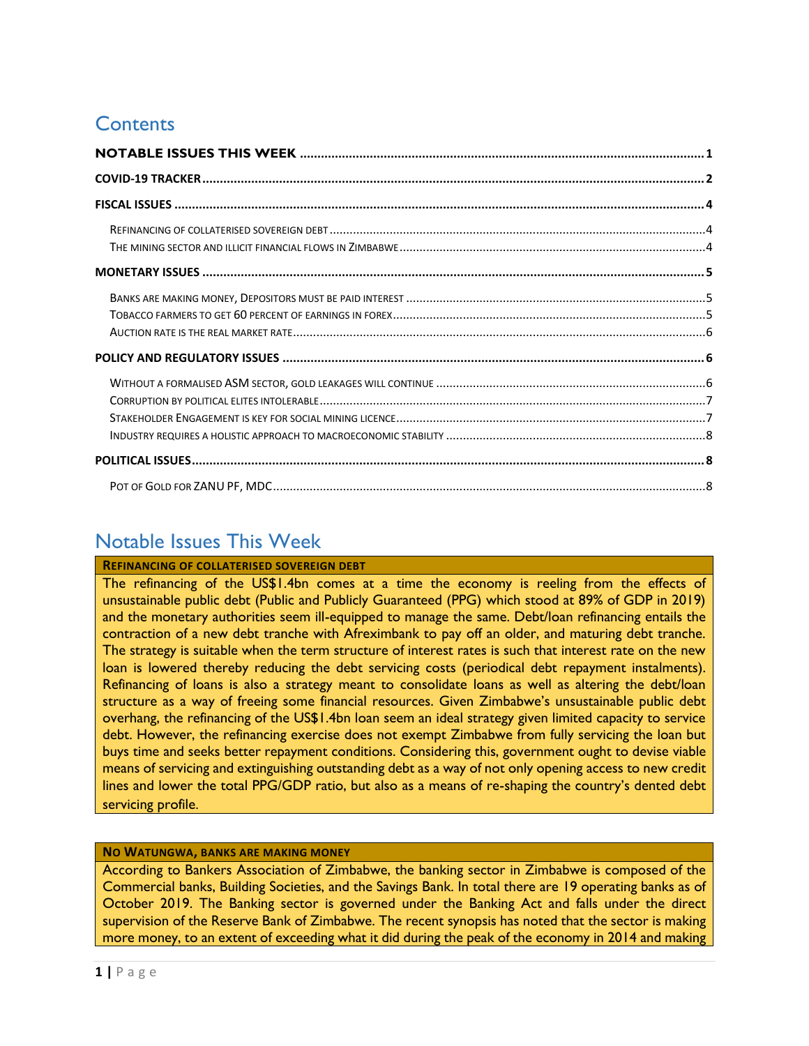## **Contents**

## <span id="page-1-0"></span>Notable Issues This Week

**REFINANCING OF COLLATERISED SOVEREIGN DEBT**

The refinancing of the US\$1.4bn comes at a time the economy is reeling from the effects of unsustainable public debt (Public and Publicly Guaranteed (PPG) which stood at 89% of GDP in 2019) and the monetary authorities seem ill-equipped to manage the same. Debt/loan refinancing entails the contraction of a new debt tranche with Afreximbank to pay off an older, and maturing debt tranche. The strategy is suitable when the term structure of interest rates is such that interest rate on the new loan is lowered thereby reducing the debt servicing costs (periodical debt repayment instalments). Refinancing of loans is also a strategy meant to consolidate loans as well as altering the debt/loan structure as a way of freeing some financial resources. Given Zimbabwe's unsustainable public debt overhang, the refinancing of the US\$1.4bn loan seem an ideal strategy given limited capacity to service debt. However, the refinancing exercise does not exempt Zimbabwe from fully servicing the loan but buys time and seeks better repayment conditions. Considering this, government ought to devise viable means of servicing and extinguishing outstanding debt as a way of not only opening access to new credit lines and lower the total PPG/GDP ratio, but also as a means of re-shaping the country's dented debt servicing profile.

#### **NO WATUNGWA, BANKS ARE MAKING MONEY**

According to Bankers Association of Zimbabwe, the banking sector in Zimbabwe is composed of the Commercial banks, Building Societies, and the Savings Bank. In total there are 19 operating banks as of October 2019. The Banking sector is governed under the Banking Act and falls under the direct supervision of the Reserve Bank of Zimbabwe. The recent synopsis has noted that the sector is making more money, to an extent of exceeding what it did during the peak of the economy in 2014 and making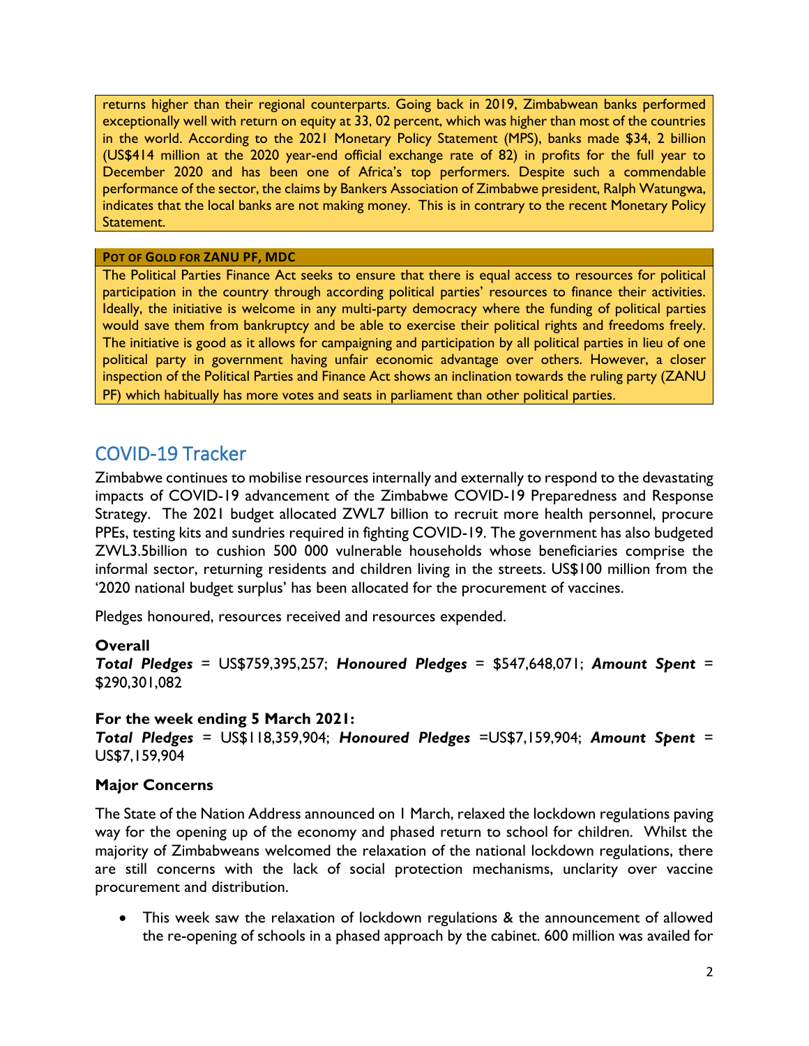returns higher than their regional counterparts. Going back in 2019, Zimbabwean banks performed exceptionally well with return on equity at 33, 02 percent, which was higher than most of the countries in the world. According to the 2021 Monetary Policy Statement (MPS), banks made \$34, 2 billion (US\$414 million at the 2020 year-end official exchange rate of 82) in profits for the full year to December 2020 and has been one of Africa's top performers. Despite such a commendable performance of the sector, the claims by Bankers Association of Zimbabwe president, Ralph Watungwa, indicates that the local banks are not making money. This is in contrary to the recent Monetary Policy Statement.

#### **POT OF GOLD FOR ZANU PF, MDC**

The Political Parties Finance Act seeks to ensure that there is equal access to resources for political participation in the country through according political parties' resources to finance their activities. Ideally, the initiative is welcome in any multi-party democracy where the funding of political parties would save them from bankruptcy and be able to exercise their political rights and freedoms freely. The initiative is good as it allows for campaigning and participation by all political parties in lieu of one political party in government having unfair economic advantage over others. However, a closer inspection of the Political Parties and Finance Act shows an inclination towards the ruling party (ZANU PF) which habitually has more votes and seats in parliament than other political parties.

## <span id="page-2-0"></span>COVID-19 Tracker

Zimbabwe continues to mobilise resources internally and externally to respond to the devastating impacts of COVID-19 advancement of the Zimbabwe COVID-19 Preparedness and Response Strategy. The 2021 budget allocated ZWL7 billion to recruit more health personnel, procure PPEs, testing kits and sundries required in fighting COVID-19. The government has also budgeted ZWL3.5billion to cushion 500 000 vulnerable households whose beneficiaries comprise the informal sector, returning residents and children living in the streets. US\$100 million from the '2020 national budget surplus' has been allocated for the procurement of vaccines.

Pledges honoured, resources received and resources expended.

#### **Overall**

*Total Pledges* = US\$759,395,257; *Honoured Pledges* = \$547,648,071; *Amount Spent* = \$290,301,082

#### **For the week ending 5 March 2021:**

*Total Pledges* = US\$118,359,904; *Honoured Pledges* =US\$7,159,904; *Amount Spent* = US\$7,159,904

#### **Major Concerns**

The State of the Nation Address announced on 1 March, relaxed the lockdown regulations paving way for the opening up of the economy and phased return to school for children. Whilst the majority of Zimbabweans welcomed the relaxation of the national lockdown regulations, there are still concerns with the lack of social protection mechanisms, unclarity over vaccine procurement and distribution.

• This week saw the relaxation of lockdown regulations & the announcement of allowed the re-opening of schools in a phased approach by the cabinet. 600 million was availed for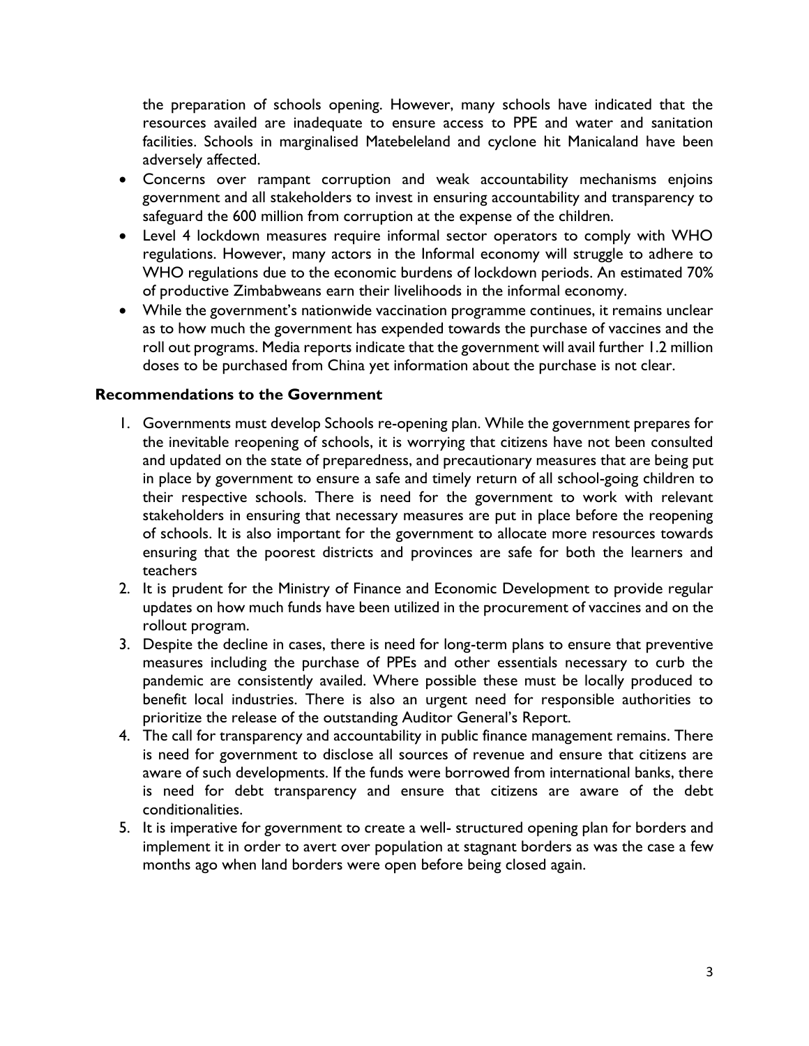the preparation of schools opening. However, many schools have indicated that the resources availed are inadequate to ensure access to PPE and water and sanitation facilities. Schools in marginalised Matebeleland and cyclone hit Manicaland have been adversely affected.

- Concerns over rampant corruption and weak accountability mechanisms enjoins government and all stakeholders to invest in ensuring accountability and transparency to safeguard the 600 million from corruption at the expense of the children.
- Level 4 lockdown measures require informal sector operators to comply with WHO regulations. However, many actors in the Informal economy will struggle to adhere to WHO regulations due to the economic burdens of lockdown periods. An estimated 70% of productive Zimbabweans earn their livelihoods in the informal economy.
- While the government's nationwide vaccination programme continues, it remains unclear as to how much the government has expended towards the purchase of vaccines and the roll out programs. Media reports indicate that the government will avail further 1.2 million doses to be purchased from China yet information about the purchase is not clear.

#### **Recommendations to the Government**

- 1. Governments must develop Schools re-opening plan. While the government prepares for the inevitable reopening of schools, it is worrying that citizens have not been consulted and updated on the state of preparedness, and precautionary measures that are being put in place by government to ensure a safe and timely return of all school-going children to their respective schools. There is need for the government to work with relevant stakeholders in ensuring that necessary measures are put in place before the reopening of schools. It is also important for the government to allocate more resources towards ensuring that the poorest districts and provinces are safe for both the learners and teachers
- 2. It is prudent for the Ministry of Finance and Economic Development to provide regular updates on how much funds have been utilized in the procurement of vaccines and on the rollout program.
- 3. Despite the decline in cases, there is need for long-term plans to ensure that preventive measures including the purchase of PPEs and other essentials necessary to curb the pandemic are consistently availed. Where possible these must be locally produced to benefit local industries. There is also an urgent need for responsible authorities to prioritize the release of the outstanding Auditor General's Report.
- 4. The call for transparency and accountability in public finance management remains. There is need for government to disclose all sources of revenue and ensure that citizens are aware of such developments. If the funds were borrowed from international banks, there is need for debt transparency and ensure that citizens are aware of the debt conditionalities.
- 5. It is imperative for government to create a well- structured opening plan for borders and implement it in order to avert over population at stagnant borders as was the case a few months ago when land borders were open before being closed again.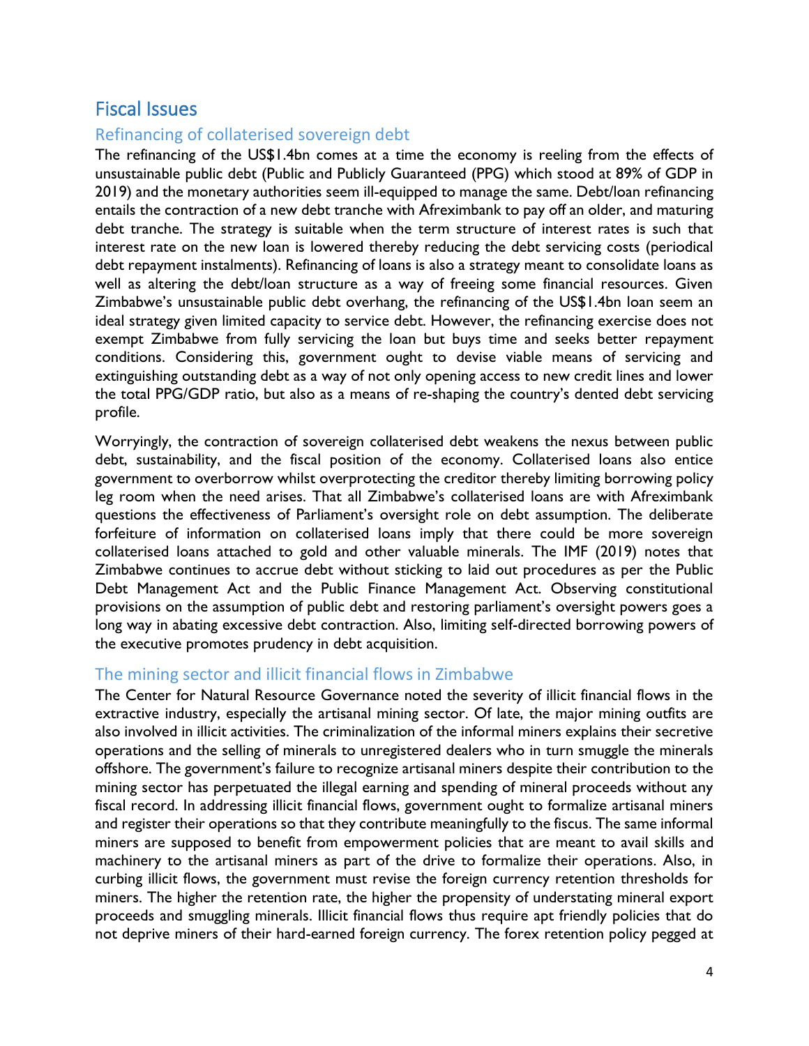### <span id="page-4-0"></span>Fiscal Issues

#### <span id="page-4-1"></span>Refinancing of collaterised sovereign debt

The refinancing of the US\$1.4bn comes at a time the economy is reeling from the effects of unsustainable public debt (Public and Publicly Guaranteed (PPG) which stood at 89% of GDP in 2019) and the monetary authorities seem ill-equipped to manage the same. Debt/loan refinancing entails the contraction of a new debt tranche with Afreximbank to pay off an older, and maturing debt tranche. The strategy is suitable when the term structure of interest rates is such that interest rate on the new loan is lowered thereby reducing the debt servicing costs (periodical debt repayment instalments). Refinancing of loans is also a strategy meant to consolidate loans as well as altering the debt/loan structure as a way of freeing some financial resources. Given Zimbabwe's unsustainable public debt overhang, the refinancing of the US\$1.4bn loan seem an ideal strategy given limited capacity to service debt. However, the refinancing exercise does not exempt Zimbabwe from fully servicing the loan but buys time and seeks better repayment conditions. Considering this, government ought to devise viable means of servicing and extinguishing outstanding debt as a way of not only opening access to new credit lines and lower the total PPG/GDP ratio, but also as a means of re-shaping the country's dented debt servicing profile.

Worryingly, the contraction of sovereign collaterised debt weakens the nexus between public debt, sustainability, and the fiscal position of the economy. Collaterised loans also entice government to overborrow whilst overprotecting the creditor thereby limiting borrowing policy leg room when the need arises. That all Zimbabwe's collaterised loans are with Afreximbank questions the effectiveness of Parliament's oversight role on debt assumption. The deliberate forfeiture of information on collaterised loans imply that there could be more sovereign collaterised loans attached to gold and other valuable minerals. The IMF (2019) notes that Zimbabwe continues to accrue debt without sticking to laid out procedures as per the Public Debt Management Act and the Public Finance Management Act. Observing constitutional provisions on the assumption of public debt and restoring parliament's oversight powers goes a long way in abating excessive debt contraction. Also, limiting self-directed borrowing powers of the executive promotes prudency in debt acquisition.

#### <span id="page-4-2"></span>The mining sector and illicit financial flows in Zimbabwe

The Center for Natural Resource Governance noted the severity of illicit financial flows in the extractive industry, especially the artisanal mining sector. Of late, the major mining outfits are also involved in illicit activities. The criminalization of the informal miners explains their secretive operations and the selling of minerals to unregistered dealers who in turn smuggle the minerals offshore. The government's failure to recognize artisanal miners despite their contribution to the mining sector has perpetuated the illegal earning and spending of mineral proceeds without any fiscal record. In addressing illicit financial flows, government ought to formalize artisanal miners and register their operations so that they contribute meaningfully to the fiscus. The same informal miners are supposed to benefit from empowerment policies that are meant to avail skills and machinery to the artisanal miners as part of the drive to formalize their operations. Also, in curbing illicit flows, the government must revise the foreign currency retention thresholds for miners. The higher the retention rate, the higher the propensity of understating mineral export proceeds and smuggling minerals. Illicit financial flows thus require apt friendly policies that do not deprive miners of their hard-earned foreign currency. The forex retention policy pegged at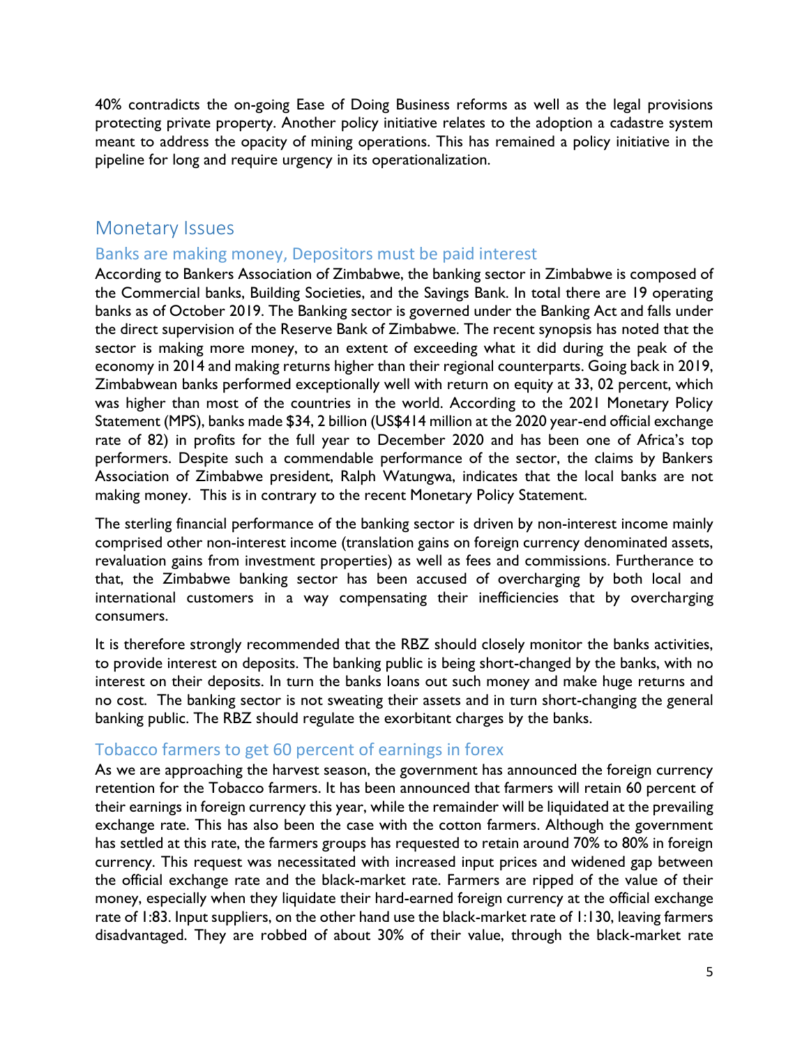40% contradicts the on-going Ease of Doing Business reforms as well as the legal provisions protecting private property. Another policy initiative relates to the adoption a cadastre system meant to address the opacity of mining operations. This has remained a policy initiative in the pipeline for long and require urgency in its operationalization.

#### <span id="page-5-0"></span>Monetary Issues

#### <span id="page-5-1"></span>Banks are making money, Depositors must be paid interest

According to Bankers Association of Zimbabwe, the banking sector in Zimbabwe is composed of the Commercial banks, Building Societies, and the Savings Bank. In total there are 19 operating banks as of October 2019. The Banking sector is governed under the Banking Act and falls under the direct supervision of the Reserve Bank of Zimbabwe. The recent synopsis has noted that the sector is making more money, to an extent of exceeding what it did during the peak of the economy in 2014 and making returns higher than their regional counterparts. Going back in 2019, Zimbabwean banks performed exceptionally well with return on equity at 33, 02 percent, which was higher than most of the countries in the world. According to the 2021 Monetary Policy Statement (MPS), banks made \$34, 2 billion (US\$414 million at the 2020 year-end official exchange rate of 82) in profits for the full year to December 2020 and has been one of Africa's top performers. Despite such a commendable performance of the sector, the claims by Bankers Association of Zimbabwe president, Ralph Watungwa, indicates that the local banks are not making money. This is in contrary to the recent Monetary Policy Statement.

The sterling financial performance of the banking sector is driven by non-interest income mainly comprised other non-interest income (translation gains on foreign currency denominated assets, revaluation gains from investment properties) as well as fees and commissions. Furtherance to that, the Zimbabwe banking sector has been accused of overcharging by both local and international customers in a way compensating their inefficiencies that by overcharging consumers.

It is therefore strongly recommended that the RBZ should closely monitor the banks activities, to provide interest on deposits. The banking public is being short-changed by the banks, with no interest on their deposits. In turn the banks loans out such money and make huge returns and no cost. The banking sector is not sweating their assets and in turn short-changing the general banking public. The RBZ should regulate the exorbitant charges by the banks.

#### <span id="page-5-2"></span>Tobacco farmers to get 60 percent of earnings in forex

As we are approaching the harvest season, the government has announced the foreign currency retention for the Tobacco farmers. It has been announced that farmers will retain 60 percent of their earnings in foreign currency this year, while the remainder will be liquidated at the prevailing exchange rate. This has also been the case with the cotton farmers. Although the government has settled at this rate, the farmers groups has requested to retain around 70% to 80% in foreign currency. This request was necessitated with increased input prices and widened gap between the official exchange rate and the black-market rate. Farmers are ripped of the value of their money, especially when they liquidate their hard-earned foreign currency at the official exchange rate of 1:83. Input suppliers, on the other hand use the black-market rate of 1:130, leaving farmers disadvantaged. They are robbed of about 30% of their value, through the black-market rate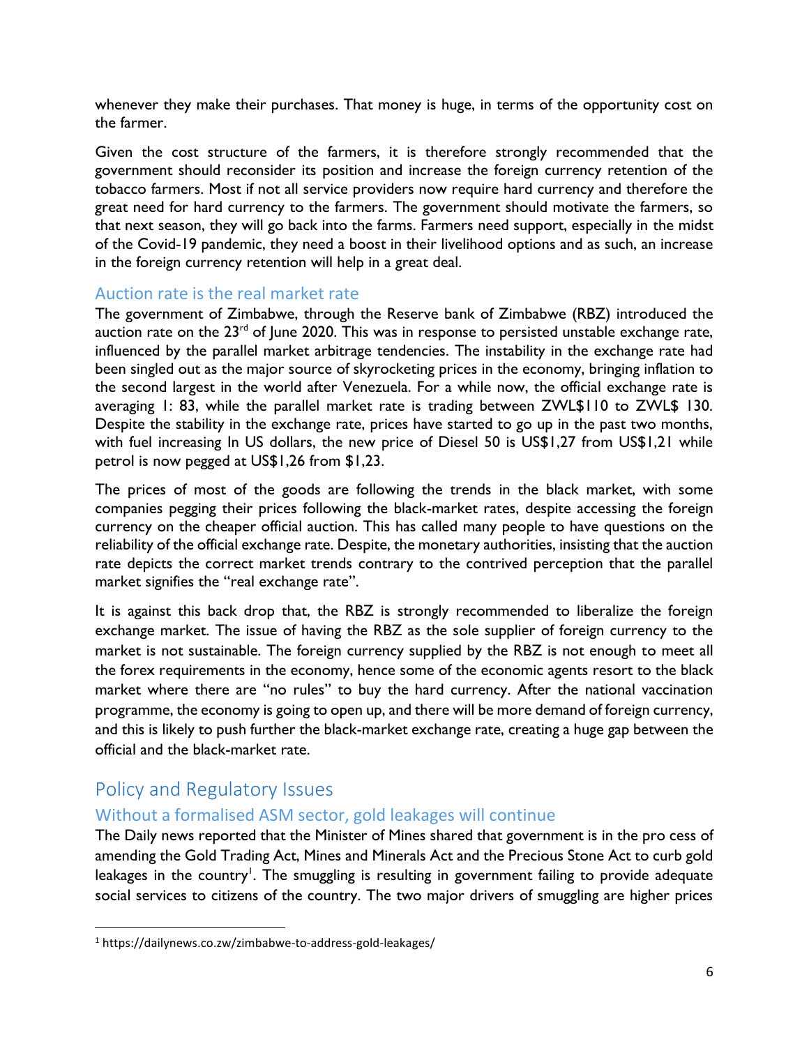whenever they make their purchases. That money is huge, in terms of the opportunity cost on the farmer.

Given the cost structure of the farmers, it is therefore strongly recommended that the government should reconsider its position and increase the foreign currency retention of the tobacco farmers. Most if not all service providers now require hard currency and therefore the great need for hard currency to the farmers. The government should motivate the farmers, so that next season, they will go back into the farms. Farmers need support, especially in the midst of the Covid-19 pandemic, they need a boost in their livelihood options and as such, an increase in the foreign currency retention will help in a great deal.

#### <span id="page-6-0"></span>Auction rate is the real market rate

The government of Zimbabwe, through the Reserve bank of Zimbabwe (RBZ) introduced the auction rate on the  $23^{rd}$  of June 2020. This was in response to persisted unstable exchange rate, influenced by the parallel market arbitrage tendencies. The instability in the exchange rate had been singled out as the major source of skyrocketing prices in the economy, bringing inflation to the second largest in the world after Venezuela. For a while now, the official exchange rate is averaging 1: 83, while the parallel market rate is trading between ZWL\$110 to ZWL\$ 130. Despite the stability in the exchange rate, prices have started to go up in the past two months, with fuel increasing In US dollars, the new price of Diesel 50 is US\$1,27 from US\$1,21 while petrol is now pegged at US\$1,26 from \$1,23.

The prices of most of the goods are following the trends in the black market, with some companies pegging their prices following the black-market rates, despite accessing the foreign currency on the cheaper official auction. This has called many people to have questions on the reliability of the official exchange rate. Despite, the monetary authorities, insisting that the auction rate depicts the correct market trends contrary to the contrived perception that the parallel market signifies the "real exchange rate".

It is against this back drop that, the RBZ is strongly recommended to liberalize the foreign exchange market. The issue of having the RBZ as the sole supplier of foreign currency to the market is not sustainable. The foreign currency supplied by the RBZ is not enough to meet all the forex requirements in the economy, hence some of the economic agents resort to the black market where there are "no rules" to buy the hard currency. After the national vaccination programme, the economy is going to open up, and there will be more demand of foreign currency, and this is likely to push further the black-market exchange rate, creating a huge gap between the official and the black-market rate.

## <span id="page-6-1"></span>Policy and Regulatory Issues

#### <span id="page-6-2"></span>Without a formalised ASM sector, gold leakages will continue

The Daily news reported that the Minister of Mines shared that government is in the pro cess of amending the Gold Trading Act, Mines and Minerals Act and the Precious Stone Act to curb gold leakages in the country<sup>1</sup>. The smuggling is resulting in government failing to provide adequate social services to citizens of the country. The two major drivers of smuggling are higher prices

<sup>1</sup> https://dailynews.co.zw/zimbabwe-to-address-gold-leakages/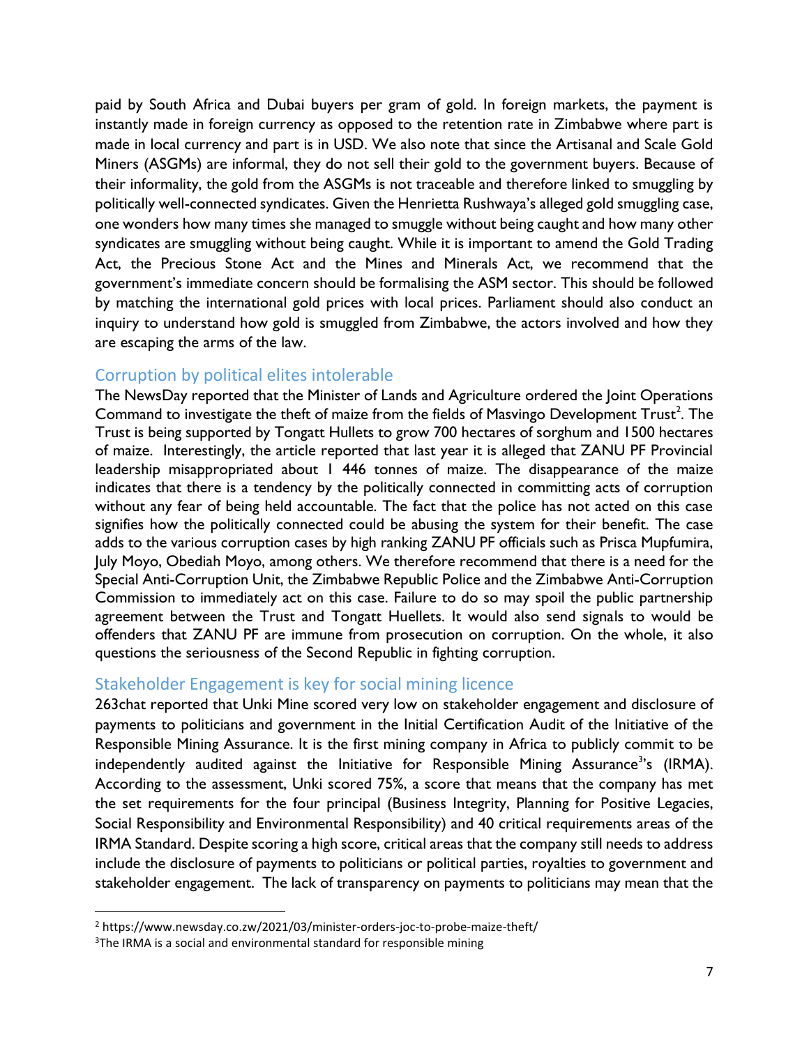paid by South Africa and Dubai buyers per gram of gold. In foreign markets, the payment is instantly made in foreign currency as opposed to the retention rate in Zimbabwe where part is made in local currency and part is in USD. We also note that since the Artisanal and Scale Gold Miners (ASGMs) are informal, they do not sell their gold to the government buyers. Because of their informality, the gold from the ASGMs is not traceable and therefore linked to smuggling by politically well-connected syndicates. Given the Henrietta Rushwaya's alleged gold smuggling case, one wonders how many times she managed to smuggle without being caught and how many other syndicates are smuggling without being caught. While it is important to amend the Gold Trading Act, the Precious Stone Act and the Mines and Minerals Act, we recommend that the government's immediate concern should be formalising the ASM sector. This should be followed by matching the international gold prices with local prices. Parliament should also conduct an inquiry to understand how gold is smuggled from Zimbabwe, the actors involved and how they are escaping the arms of the law.

#### <span id="page-7-0"></span>Corruption by political elites intolerable

The NewsDay reported that the Minister of Lands and Agriculture ordered the Joint Operations Command to investigate the theft of maize from the fields of Masvingo Development  $\text{Trust}^2$ . The Trust is being supported by Tongatt Hullets to grow 700 hectares of sorghum and 1500 hectares of maize. Interestingly, the article reported that last year it is alleged that ZANU PF Provincial leadership misappropriated about 1 446 tonnes of maize. The disappearance of the maize indicates that there is a tendency by the politically connected in committing acts of corruption without any fear of being held accountable. The fact that the police has not acted on this case signifies how the politically connected could be abusing the system for their benefit. The case adds to the various corruption cases by high ranking ZANU PF officials such as Prisca Mupfumira, July Moyo, Obediah Moyo, among others. We therefore recommend that there is a need for the Special Anti-Corruption Unit, the Zimbabwe Republic Police and the Zimbabwe Anti-Corruption Commission to immediately act on this case. Failure to do so may spoil the public partnership agreement between the Trust and Tongatt Huellets. It would also send signals to would be offenders that ZANU PF are immune from prosecution on corruption. On the whole, it also questions the seriousness of the Second Republic in fighting corruption.

#### <span id="page-7-1"></span>Stakeholder Engagement is key for social mining licence

263chat reported that Unki Mine scored very low on stakeholder engagement and disclosure of payments to politicians and government in the Initial Certification Audit of the Initiative of the Responsible Mining Assurance. It is the first mining company in Africa to publicly commit to be independently audited against the Initiative for Responsible Mining Assurance<sup>3</sup>'s (IRMA). According to the assessment, Unki scored 75%, a score that means that the company has met the set requirements for the four principal (Business Integrity, Planning for Positive Legacies, Social Responsibility and Environmental Responsibility) and 40 critical requirements areas of the IRMA Standard. Despite scoring a high score, critical areas that the company still needs to address include the disclosure of payments to politicians or political parties, royalties to government and stakeholder engagement. The lack of transparency on payments to politicians may mean that the

<sup>2</sup> https://www.newsday.co.zw/2021/03/minister-orders-joc-to-probe-maize-theft/

<sup>&</sup>lt;sup>3</sup>The IRMA is a social and environmental standard for responsible mining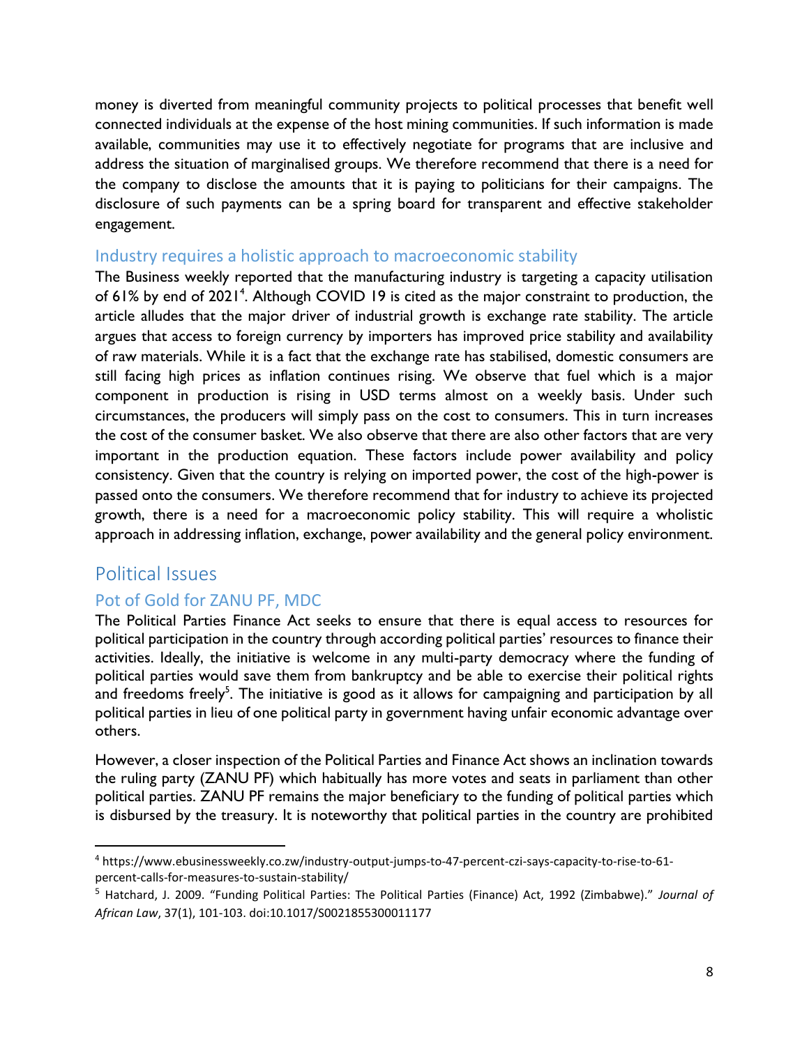money is diverted from meaningful community projects to political processes that benefit well connected individuals at the expense of the host mining communities. If such information is made available, communities may use it to effectively negotiate for programs that are inclusive and address the situation of marginalised groups. We therefore recommend that there is a need for the company to disclose the amounts that it is paying to politicians for their campaigns. The disclosure of such payments can be a spring board for transparent and effective stakeholder engagement.

#### <span id="page-8-0"></span>Industry requires a holistic approach to macroeconomic stability

The Business weekly reported that the manufacturing industry is targeting a capacity utilisation of 61% by end of 2021<sup>4</sup>. Although COVID 19 is cited as the major constraint to production, the article alludes that the major driver of industrial growth is exchange rate stability. The article argues that access to foreign currency by importers has improved price stability and availability of raw materials. While it is a fact that the exchange rate has stabilised, domestic consumers are still facing high prices as inflation continues rising. We observe that fuel which is a major component in production is rising in USD terms almost on a weekly basis. Under such circumstances, the producers will simply pass on the cost to consumers. This in turn increases the cost of the consumer basket. We also observe that there are also other factors that are very important in the production equation. These factors include power availability and policy consistency. Given that the country is relying on imported power, the cost of the high-power is passed onto the consumers. We therefore recommend that for industry to achieve its projected growth, there is a need for a macroeconomic policy stability. This will require a wholistic approach in addressing inflation, exchange, power availability and the general policy environment.

#### <span id="page-8-1"></span>Political Issues

#### <span id="page-8-2"></span>Pot of Gold for ZANU PF, MDC

The Political Parties Finance Act seeks to ensure that there is equal access to resources for political participation in the country through according political parties' resources to finance their activities. Ideally, the initiative is welcome in any multi-party democracy where the funding of political parties would save them from bankruptcy and be able to exercise their political rights and freedoms freely<sup>5</sup>. The initiative is good as it allows for campaigning and participation by all political parties in lieu of one political party in government having unfair economic advantage over others.

However, a closer inspection of the Political Parties and Finance Act shows an inclination towards the ruling party (ZANU PF) which habitually has more votes and seats in parliament than other political parties. ZANU PF remains the major beneficiary to the funding of political parties which is disbursed by the treasury. It is noteworthy that political parties in the country are prohibited

<sup>4</sup> https://www.ebusinessweekly.co.zw/industry-output-jumps-to-47-percent-czi-says-capacity-to-rise-to-61 percent-calls-for-measures-to-sustain-stability/

<sup>5</sup> Hatchard, J. 2009. "Funding Political Parties: The Political Parties (Finance) Act, 1992 (Zimbabwe)." *Journal of African Law*, 37(1), 101-103. doi:10.1017/S0021855300011177